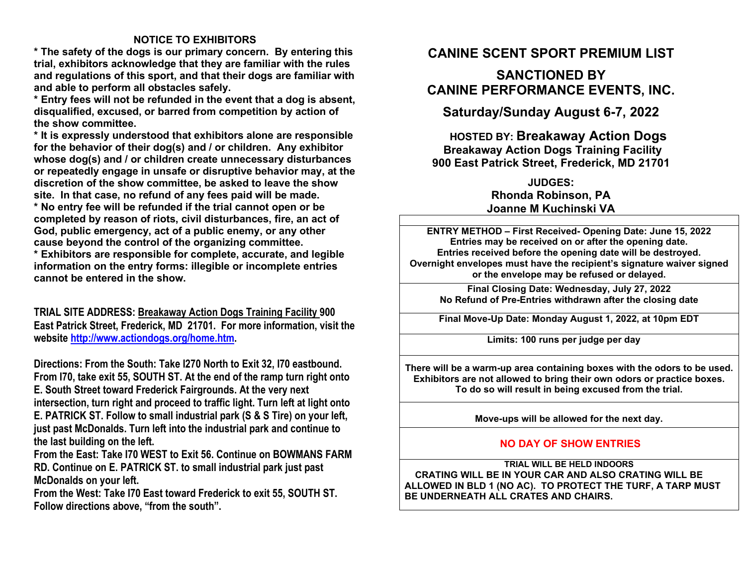## **NOTICE TO EXHIBITORS**

 **\* The safety of the dogs is our primary concern. By entering this trial, exhibitors acknowledge that they are familiar with the rules and regulations of this sport, and that their dogs are familiar with and able to perform all obstacles safely.** 

 **\* Entry fees will not be refunded in the event that a dog is absent, disqualified, excused, or barred from competition by action of the show committee.** 

 **\* It is expressly understood that exhibitors alone are responsible for the behavior of their dog(s) and / or children. Any exhibitor whose dog(s) and / or children create unnecessary disturbances or repeatedly engage in unsafe or disruptive behavior may, at the discretion of the show committee, be asked to leave the show site. In that case, no refund of any fees paid will be made.** 

 **\* No entry fee will be refunded if the trial cannot open or be completed by reason of riots, civil disturbances, fire, an act of God, public emergency, act of a public enemy, or any other cause beyond the control of the organizing committee.** 

 **\* Exhibitors are responsible for complete, accurate, and legible information on the entry forms: illegible or incomplete entries cannot be entered in the show.** 

**TRIAL SITE ADDRESS: Breakaway Action Dogs Training Facility 900 East Patrick Street, Frederick, MD 21701. For more information, visit the website http://www.actiondogs.org/home.htm.** 

**Directions: From the South: Take I270 North to Exit 32, I70 eastbound. From I70, take exit 55, SOUTH ST. At the end of the ramp turn right onto E. South Street toward Frederick Fairgrounds. At the very next intersection, turn right and proceed to traffic light. Turn left at light onto E. PATRICK ST. Follow to small industrial park (S & S Tire) on your left, just past McDonalds. Turn left into the industrial park and continue to the last building on the left.** 

 **From the East: Take I70 WEST to Exit 56. Continue on BOWMANS FARM RD. Continue on E. PATRICK ST. to small industrial park just past McDonalds on your left.** 

 **From the West: Take I70 East toward Frederick to exit 55, SOUTH ST. Follow directions above, "from the south".** 

# **CANINE SCENT SPORT PREMIUM LIST**

## **SANCTIONED BY CANINE PERFORMANCE EVENTS, INC.**

**Saturday/Sunday August 6-7, 2022** 

**HOSTED BY: Breakaway Action Dogs Breakaway Action Dogs Training Facility 900 East Patrick Street, Frederick, MD 21701** 

> **JUDGES: Rhonda Robinson, PA Joanne M Kuchinski VA**

**ENTRY METHOD – First Received- Opening Date: June 15, 2022 Entries may be received on or after the opening date. Entries received before the opening date will be destroyed. Overnight envelopes must have the recipient's signature waiver signed or the envelope may be refused or delayed.**

**Final Closing Date: Wednesday, July 27, 2022 No Refund of Pre-Entries withdrawn after the closing date**

**Final Move-Up Date: Monday August 1, 2022, at 10pm EDT** 

**Limits: 100 runs per judge per day** 

**There will be a warm-up area containing boxes with the odors to be used. Exhibitors are not allowed to bring their own odors or practice boxes. To do so will result in being excused from the trial.**

**Move-ups will be allowed for the next day.**

## **NO DAY OF SHOW ENTRIES**

**TRIAL WILL BE HELD INDOORS CRATING WILL BE IN YOUR CAR AND ALSO CRATING WILL BE ALLOWED IN BLD 1 (NO AC). TO PROTECT THE TURF, A TARP MUST BE UNDERNEATH ALL CRATES AND CHAIRS.**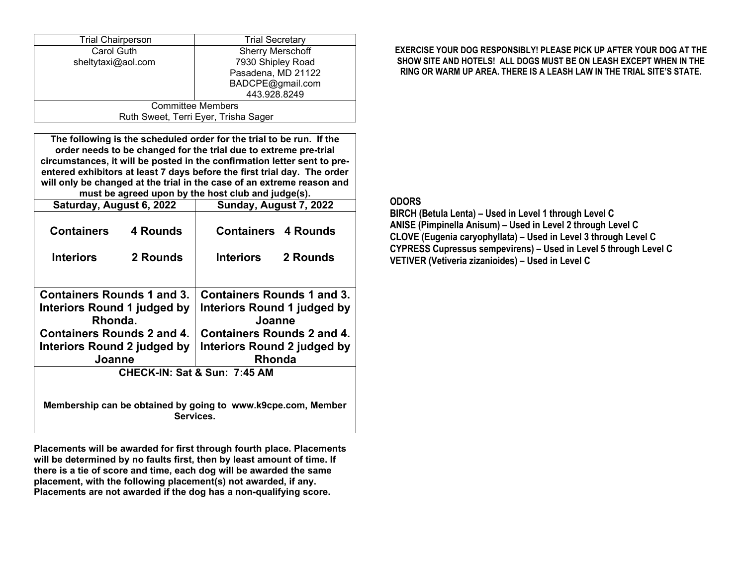| <b>Trial Chairperson</b>             | <b>Trial Secretary</b>  |  |  |  |
|--------------------------------------|-------------------------|--|--|--|
| Carol Guth                           | <b>Sherry Merschoff</b> |  |  |  |
| sheltytaxi@aol.com                   | 7930 Shipley Road       |  |  |  |
|                                      | Pasadena, MD 21122      |  |  |  |
|                                      | BADCPE@gmail.com        |  |  |  |
|                                      | 443.928.8249            |  |  |  |
| <b>Committee Members</b>             |                         |  |  |  |
| Ruth Sweet, Terri Eyer, Trisha Sager |                         |  |  |  |

**The following is the scheduled order for the trial to be run. If the order needs to be changed for the trial due to extreme pre-trial circumstances, it will be posted in the confirmation letter sent to preentered exhibitors at least 7 days before the first trial day. The order will only be changed at the trial in the case of an extreme reason and must be agreed upon by the host club and judge(s).**

| Saturday, August 6, 2022                                                  |          | Sunday, August 7, 2022             |          |  |  |
|---------------------------------------------------------------------------|----------|------------------------------------|----------|--|--|
| <b>Containers</b>                                                         | 4 Rounds | <b>Containers 4 Rounds</b>         |          |  |  |
| <b>Interiors</b>                                                          | 2 Rounds | <b>Interiors</b>                   | 2 Rounds |  |  |
|                                                                           |          |                                    |          |  |  |
| Containers Rounds 1 and 3.                                                |          | Containers Rounds 1 and 3.         |          |  |  |
| Interiors Round 1 judged by                                               |          | <b>Interiors Round 1 judged by</b> |          |  |  |
| Rhonda.                                                                   |          | Joanne                             |          |  |  |
| <b>Containers Rounds 2 and 4.</b>                                         |          | Containers Rounds 2 and 4.         |          |  |  |
| Interiors Round 2 judged by                                               |          | Interiors Round 2 judged by        |          |  |  |
| Joanne                                                                    |          | <b>Rhonda</b>                      |          |  |  |
| CHECK-IN: Sat & Sun: 7:45 AM                                              |          |                                    |          |  |  |
|                                                                           |          |                                    |          |  |  |
| Membership can be obtained by going to www.k9cpe.com, Member<br>Services. |          |                                    |          |  |  |

**Placements will be awarded for first through fourth place. Placements will be determined by no faults first, then by least amount of time. If there is a tie of score and time, each dog will be awarded the same placement, with the following placement(s) not awarded, if any. Placements are not awarded if the dog has a non-qualifying score.** 

### **EXERCISE YOUR DOG RESPONSIBLY! PLEASE PICK UP AFTER YOUR DOG AT THE SHOW SITE AND HOTELS! ALL DOGS MUST BE ON LEASH EXCEPT WHEN IN THE RING OR WARM UP AREA. THERE IS A LEASH LAW IN THE TRIAL SITE'S STATE.**

## **ODORS**

 **BIRCH (Betula Lenta) – Used in Level 1 through Level C ANISE (Pimpinella Anisum) – Used in Level 2 through Level C CLOVE (Eugenia caryophyllata) – Used in Level 3 through Level C CYPRESS Cupressus sempevirens) – Used in Level 5 through Level C VETIVER (Vetiveria zizanioides) – Used in Level C**